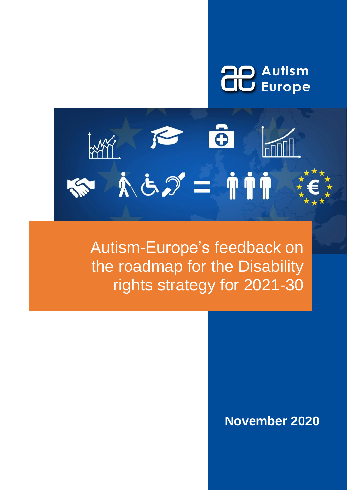



Autism-Europe's feedback on the roadmap for the Disability rights strategy for 2021-30

# **November 2020**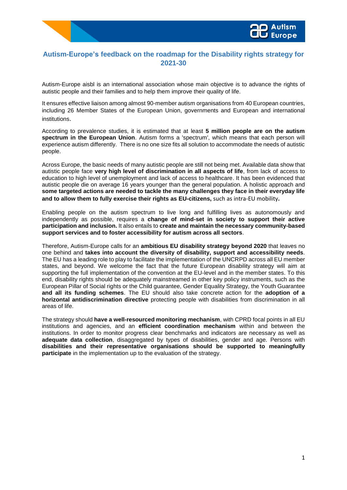# **Autism-Europe's feedback on the roadmap for the Disability rights strategy for 2021-30**

Autism-Europe aisbl is an international association whose main objective is to advance the rights of autistic people and their families and to help them improve their quality of life.

It ensures effective liaison among almost 90-member autism organisations from 40 European countries, including 26 Member States of the European Union, governments and European and international institutions.

According to prevalence studies, it is estimated that at least **5 million people are on the autism spectrum in the European Union**. Autism forms a 'spectrum', which means that each person will experience autism differently. There is no one size fits all solution to accommodate the needs of autistic people.

Across Europe, the basic needs of many autistic people are still not being met. Available data show that autistic people face **very high level of discrimination in all aspects of life**, from lack of access to education to high level of unemployment and lack of access to healthcare. It has been evidenced that autistic people die on average 16 years younger than the general population. A holistic approach and **some targeted actions are needed to tackle the many challenges they face in their everyday life and to allow them to fully exercise their rights as EU-citizens,** such as intra-EU mobility**.** 

Enabling people on the autism spectrum to live long and fulfilling lives as autonomously and independently as possible, requires a **change of mind-set in society to support their active participation and inclusion.** It also entails to **create and maintain the necessary community-based support services and to foster accessibility for autism across all sectors**.

Therefore, Autism-Europe calls for an **ambitious EU disability strategy beyond 2020** that leaves no one behind and **takes into account the diversity of disability, support and accessibility needs**. The EU has a leading role to play to facilitate the implementation of the UNCRPD across all EU member states, and beyond. We welcome the fact that the future European disability strategy will aim at supporting the full implementation of the convention at the EU-level and in the member states. To this end, disability rights should be adequately mainstreamed in other key policy instruments, such as the European Pillar of Social rights or the Child guarantee, Gender Equality Strategy, the Youth Guarantee **and all its funding schemes**. The EU should also take concrete action for the **adoption of a horizontal antidiscrimination directive** protecting people with disabilities from discrimination in all areas of life.

The strategy should **have a well-resourced monitoring mechanism**, with CPRD focal points in all EU institutions and agencies, and an **efficient coordination mechanism** within and between the institutions. In order to monitor progress clear benchmarks and indicators are necessary as well as **adequate data collection**, disaggregated by types of disabilities, gender and age. Persons with **disabilities and their representative organisations should be supported to meaningfully participate** in the implementation up to the evaluation of the strategy.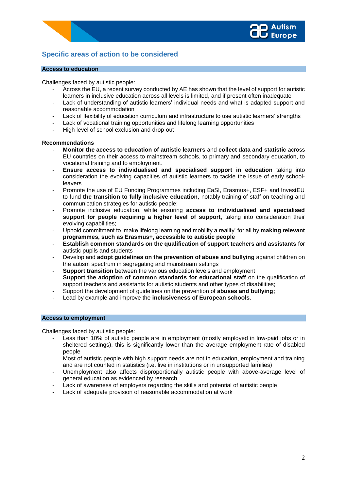

# **Specific areas of action to be considered**

# **Access to education**

Challenges faced by autistic people:

- Across the EU, a recent survey conducted by AE has shown that the level of support for autistic learners in inclusive education across all levels is limited, and if present often inadequate
- Lack of understanding of autistic learners' individual needs and what is adapted support and reasonable accommodation
- Lack of flexibility of education curriculum and infrastructure to use autistic learners' strengths
- Lack of vocational training opportunities and lifelong learning opportunities
- High level of school exclusion and drop-out

#### **Recommendations**

- **Monitor the access to education of autistic learners** and **collect data and statistic** across EU countries on their access to mainstream schools, to primary and secondary education, to vocational training and to employment.
- **Ensure access to individualised and specialised support in education** taking into consideration the evolving capacities of autistic learners to tackle the issue of early schoolleavers
- Promote the use of EU Funding Programmes including EaSI, Erasmus+, ESF+ and InvestEU to fund **the transition to fully inclusive education**, notably training of staff on teaching and communication strategies for autistic people;
- Promote inclusive education, while ensuring **access to individualised and specialised support for people requiring a higher level of support**, taking into consideration their evolving capabilities;
- Uphold commitment to 'make lifelong learning and mobility a reality' for all by **making relevant programmes, such as Erasmus+, accessible to autistic people**
- **Establish common standards on the qualification of support teachers and assistants** for autistic pupils and students
- Develop and **adopt guidelines on the prevention of abuse and bullying** against children on the autism spectrum in segregating and mainstream settings
- **Support transition** between the various education levels and employment
- **Support the adoption of common standards for educational staff** on the qualification of support teachers and assistants for autistic students and other types of disabilities;
- Support the development of guidelines on the prevention of **abuses and bullying;**
- Lead by example and improve the **inclusiveness of European schools**.

# **Access to employment**

Challenges faced by autistic people:

- Less than 10% of autistic people are in employment (mostly employed in low-paid jobs or in sheltered settings), this is significantly lower than the average employment rate of disabled people
- Most of autistic people with high support needs are not in education, employment and training and are not counted in statistics (i.e. live in institutions or in unsupported families)
- Unemployment also affects disproportionally autistic people with above-average level of general education as evidenced by research
- Lack of awareness of employers regarding the skills and potential of autistic people
- Lack of adequate provision of reasonable accommodation at work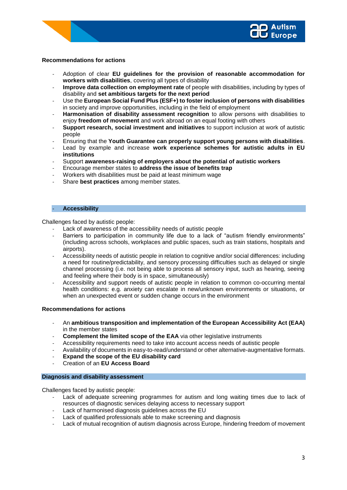# **Recommendations for actions**

- Adoption of clear **EU guidelines for the provision of reasonable accommodation for workers with disabilities**, covering all types of disability
- **Improve data collection on employment rate** of people with disabilities, including by types of disability and **set ambitious targets for the next period**
- Use the **European Social Fund Plus (ESF+) to foster inclusion of persons with disabilities**  in society and improve opportunities, including in the field of employment
- Harmonisation of disability assessment recognition to allow persons with disabilities to enjoy **freedom of movement** and work abroad on an equal footing with others
- **Support research, social investment and initiatives** to support inclusion at work of autistic people
- Ensuring that the **Youth Guarantee can properly support young persons with disabilities**.
- Lead by example and increase **work experience schemes for autistic adults in EU institutions**
- Support **awareness-raising of employers about the potential of autistic workers**
- Encourage member states to **address the issue of benefits trap**
- Workers with disabilities must be paid at least minimum wage
- Share **best practices** among member states.

# - **Accessibility**

Challenges faced by autistic people:

- Lack of awareness of the accessibility needs of autistic people
- Barriers to participation in community life due to a lack of "autism friendly environments" (including across schools, workplaces and public spaces, such as train stations, hospitals and airports).
- Accessibility needs of autistic people in relation to cognitive and/or social differences: including a need for routine/predictability, and sensory processing difficulties such as delayed or single channel processing (i.e. not being able to process all sensory input, such as hearing, seeing and feeling where their body is in space, simultaneously)
- Accessibility and support needs of autistic people in relation to common co-occurring mental health conditions: e.g. anxiety can escalate in new/unknown environments or situations, or when an unexpected event or sudden change occurs in the environment

#### **Recommendations for actions**

- An **ambitious transposition and implementation of the European Accessibility Act (EAA)**  in the member states
- **Complement the limited scope of the EAA** via other legislative instruments
- Accessibility requirements need to take into account access needs of autistic people
- Availability of documents in easy-to-read/understand or other alternative-augmentative formats.
- **Expand the scope of the EU disability card**
- Creation of an **EU Access Board**

# **Diagnosis and disability assessment**

Challenges faced by autistic people:

- Lack of adequate screening programmes for autism and long waiting times due to lack of resources of diagnostic services delaying access to necessary support
- Lack of harmonised diagnosis guidelines across the EU
- Lack of qualified professionals able to make screening and diagnosis
- Lack of mutual recognition of autism diagnosis across Europe, hindering freedom of movement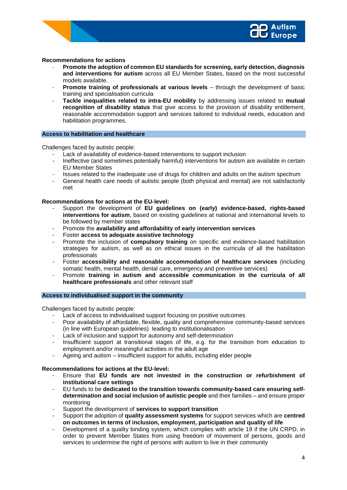## **Recommendations for actions**

- **Promote the adoption of common EU standards for screening, early detection, diagnosis and interventions for autism** across all EU Member States, based on the most successful models available.
- **Promote training of professionals at various levels** through the development of basic training and specialisation curricula
- **Tackle inequalities related to intra-EU mobility** by addressing issues related to **mutual recognition of disability status** that give access to the provision of disability entitlement, reasonable accommodation support and services tailored to individual needs, education and habilitation programmes.

#### **Access to habilitation and healthcare**

Challenges faced by autistic people:

- Lack of availability of evidence-based interventions to support inclusion
- Ineffective (and sometimes potentially harmful) interventions for autism are available in certain EU Member States
- Issues related to the inadequate use of drugs for children and adults on the autism spectrum
- General health care needs of autistic people (both physical and mental) are not satisfactorily met

# **Recommendations for actions at the EU-level:**

- Support the development of **EU guidelines on (early) evidence-based, rights-based interventions for autism**, based on existing guidelines at national and international levels to be followed by member states
- Promote the **availability and affordability of early intervention services**
- Foster **access to adequate assistive technology**
- Promote the inclusion of **compulsory training** on specific and evidence-based habilitation strategies for autism, as well as on ethical issues in the curricula of all the habilitation professionals
- Foster **accessibility and reasonable accommodation of healthcare services** (including somatic health, mental health, dental care, emergency and preventive services)
- Promote **training in autism and accessible communication in the curricula of all healthcare professionals** and other relevant staff

#### **Access to individualised support in the community**

Challenges faced by autistic people:

- Lack of access to individualised support focusing on positive outcomes
- Poor availability of affordable, flexible, quality and comprehensive community-based services (in line with [European guidelines\)](https://deinstitutionalisation.com/eeg-publications/) leading to institutionalisation
- Lack of inclusion and support for autonomy and self-determination
- Insufficient support at transitional stages of life, e.g. for the transition from education to employment and/or meaningful activities in the adult age
- Ageing and autism insufficient support for adults, including elder people

#### **Recommendations for actions at the EU-level:**

- Ensure that **EU funds are not invested in the construction or refurbishment of institutional care settings**
- EU funds to be **dedicated to the transition towards community-based care ensuring selfdetermination and social inclusion of autistic people** and their families – and ensure proper monitoring
- Support the development of **services to support transition**
- Support the adoption of **quality assessment systems** for support services which are **centred on outcomes in terms of inclusion, employment, participation and quality of life**
- Development of a quality binding system, which complies with article 19 if the UN CRPD, in order to prevent Member States from using freedom of movement of persons, goods and services to undermine the right of persons with autism to live in their community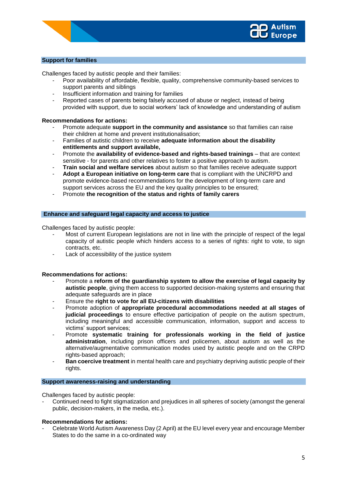# **Support for families**

Challenges faced by autistic people and their families:

- Poor availability of affordable, flexible, quality, comprehensive community-based services to support parents and siblings
- Insufficient information and training for families
- Reported cases of parents being falsely accused of abuse or neglect, instead of being provided with support, due to social workers' lack of knowledge and understanding of autism

#### **Recommendations for actions:**

- Promote adequate **support in the community and assistance** so that families can raise their children at home and prevent institutionalisation;
- Families of autistic children to receive **adequate information about the disability entitlements and support available,**
- Promote the **availability of evidence-based and rights-based trainings** that are context sensitive - for parents and other relatives to foster a positive approach to autism.
- **Train social and welfare services** about autism so that families receive adequate support
- **Adopt a European initiative on long-term care** that is compliant with the UNCRPD and promote evidence-based recommendations for the development of long-term care and support services across the EU and the key quality principles to be ensured;
- Promote **the recognition of the status and rights of family carers**

# **Enhance and safeguard legal capacity and access to justice**

Challenges faced by autistic people:

- Most of current European legislations are not in line with the principle of respect of the legal capacity of autistic people which hinders access to a series of rights: right to vote, to sign contracts, etc.
- Lack of accessibility of the justice system

#### **Recommendations for actions:**

- Promote a **reform of the guardianship system to allow the exercise of legal capacity by autistic people**, giving them access to supported decision-making systems and ensuring that adequate safeguards are in place
- Ensure the **right to vote for all EU-citizens with disabilities**
- Promote adoption of **appropriate procedural accommodations needed at all stages of judicial proceedings** to ensure effective participation of people on the autism spectrum, including meaningful and accessible communication, information, support and access to victims' support services;
- Promote **systematic training for professionals working in the field of justice administration**, including prison officers and policemen, about autism as well as the alternative/augmentative communication modes used by autistic people and on the CRPD rights-based approach;
- **Ban coercive treatment** in mental health care and psychiatry depriving autistic people of their rights.

#### **Support awareness-raising and understanding**

Challenges faced by autistic people:

- Continued need to fight stigmatization and prejudices in all spheres of society (amongst the general public, decision-makers, in the media, etc.).

#### **Recommendations for actions:**

- Celebrate World Autism Awareness Day (2 April) at the EU level every year and encourage Member States to do the same in a co-ordinated way